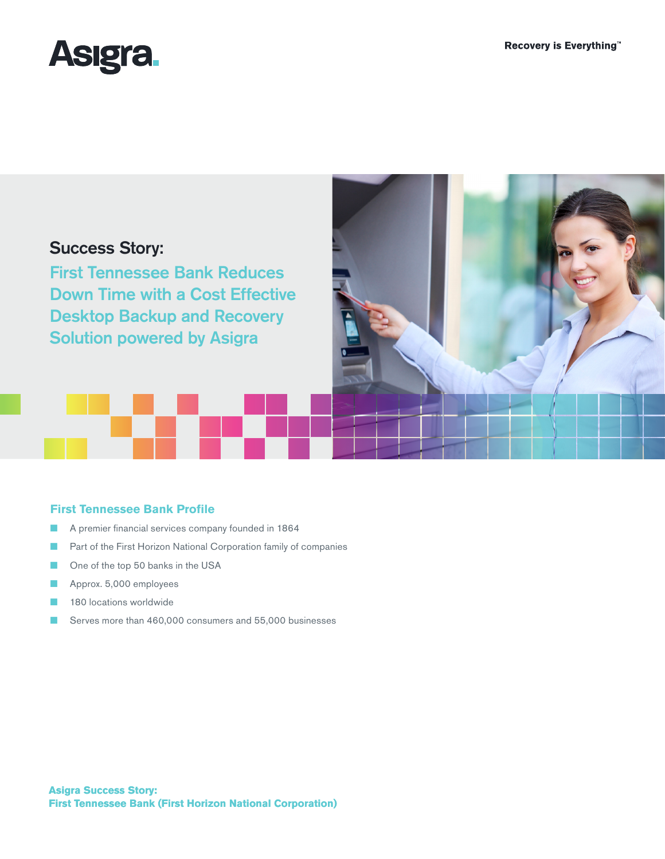

# Success Story:

First Tennessee Bank Reduces Down Time with a Cost Effective Desktop Backup and Recovery Solution powered by Asigra



## **First Tennessee Bank Profile**

- A premier financial services company founded in 1864
- Part of the First Horizon National Corporation family of companies
- One of the top 50 banks in the USA
- Approx. 5,000 employees
- 180 locations worldwide
- Serves more than 460,000 consumers and 55,000 businesses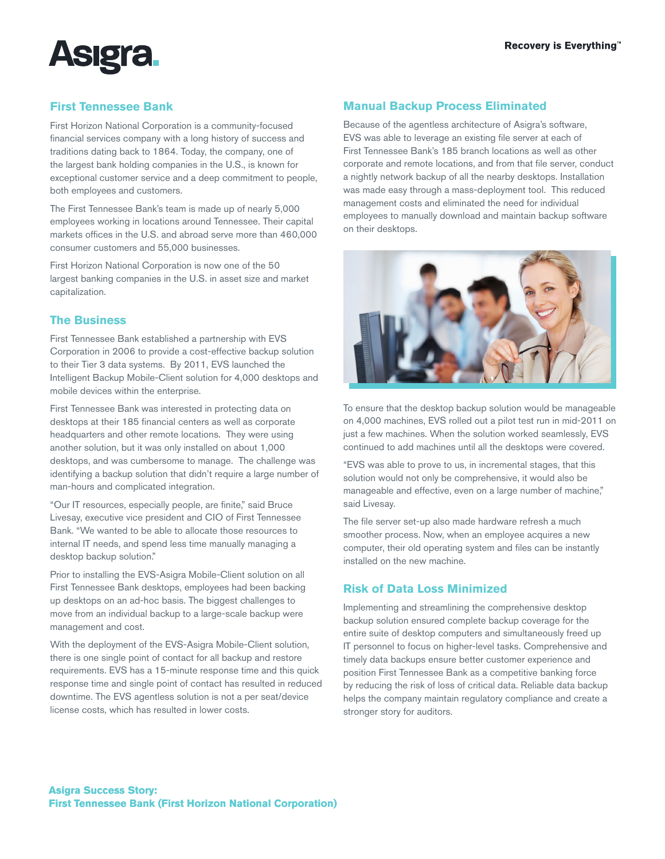

# **First Tennessee Bank**

First Horizon National Corporation is a community-focused financial services company with a long history of success and traditions dating back to 1864. Today, the company, one of the largest bank holding companies in the U.S., is known for exceptional customer service and a deep commitment to people, both employees and customers.

The First Tennessee Bank's team is made up of nearly 5,000 employees working in locations around Tennessee. Their capital markets offices in the U.S. and abroad serve more than 460,000 consumer customers and 55,000 businesses.

First Horizon National Corporation is now one of the 50 largest banking companies in the U.S. in asset size and market capitalization.

# **The Business**

First Tennessee Bank established a partnership with EVS Corporation in 2006 to provide a cost-effective backup solution to their Tier 3 data systems. By 2011, EVS launched the Intelligent Backup Mobile-Client solution for 4,000 desktops and mobile devices within the enterprise.

First Tennessee Bank was interested in protecting data on desktops at their 185 financial centers as well as corporate headquarters and other remote locations. They were using another solution, but it was only installed on about 1,000 desktops, and was cumbersome to manage. The challenge was identifying a backup solution that didn't require a large number of man-hours and complicated integration.

"Our IT resources, especially people, are finite," said Bruce Livesay, executive vice president and CIO of First Tennessee Bank. "We wanted to be able to allocate those resources to internal IT needs, and spend less time manually managing a desktop backup solution."

Prior to installing the EVS-Asigra Mobile-Client solution on all First Tennessee Bank desktops, employees had been backing up desktops on an ad-hoc basis. The biggest challenges to move from an individual backup to a large-scale backup were management and cost.

With the deployment of the EVS-Asigra Mobile-Client solution, there is one single point of contact for all backup and restore requirements. EVS has a 15-minute response time and this quick response time and single point of contact has resulted in reduced downtime. The EVS agentless solution is not a per seat/device license costs, which has resulted in lower costs.

# **Manual Backup Process Eliminated**

Because of the agentless architecture of Asigra's software, EVS was able to leverage an existing file server at each of First Tennessee Bank's 185 branch locations as well as other corporate and remote locations, and from that file server, conduct a nightly network backup of all the nearby desktops. Installation was made easy through a mass-deployment tool. This reduced management costs and eliminated the need for individual employees to manually download and maintain backup software on their desktops.



To ensure that the desktop backup solution would be manageable on 4,000 machines, EVS rolled out a pilot test run in mid-2011 on just a few machines. When the solution worked seamlessly, EVS continued to add machines until all the desktops were covered.

"EVS was able to prove to us, in incremental stages, that this solution would not only be comprehensive, it would also be manageable and effective, even on a large number of machine," said Livesay.

The file server set-up also made hardware refresh a much smoother process. Now, when an employee acquires a new computer, their old operating system and files can be instantly installed on the new machine.

### **Risk of Data Loss Minimized**

Implementing and streamlining the comprehensive desktop backup solution ensured complete backup coverage for the entire suite of desktop computers and simultaneously freed up IT personnel to focus on higher-level tasks. Comprehensive and timely data backups ensure better customer experience and position First Tennessee Bank as a competitive banking force by reducing the risk of loss of critical data. Reliable data backup helps the company maintain regulatory compliance and create a stronger story for auditors.